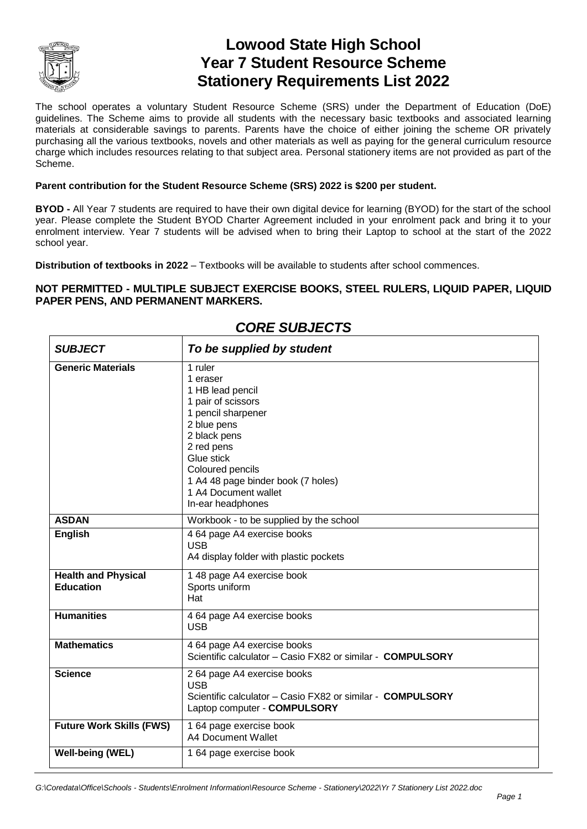

# **Lowood State High School Year 7 Student Resource Scheme Stationery Requirements List 2022**

The school operates a voluntary Student Resource Scheme (SRS) under the Department of Education (DoE) guidelines. The Scheme aims to provide all students with the necessary basic textbooks and associated learning materials at considerable savings to parents. Parents have the choice of either joining the scheme OR privately purchasing all the various textbooks, novels and other materials as well as paying for the general curriculum resource charge which includes resources relating to that subject area. Personal stationery items are not provided as part of the Scheme.

#### **Parent contribution for the Student Resource Scheme (SRS) 2022 is \$200 per student.**

**BYOD -** All Year 7 students are required to have their own digital device for learning (BYOD) for the start of the school year. Please complete the Student BYOD Charter Agreement included in your enrolment pack and bring it to your enrolment interview. Year 7 students will be advised when to bring their Laptop to school at the start of the 2022 school year.

**Distribution of textbooks in 2022** – Textbooks will be available to students after school commences.

#### **NOT PERMITTED - MULTIPLE SUBJECT EXERCISE BOOKS, STEEL RULERS, LIQUID PAPER, LIQUID PAPER PENS, AND PERMANENT MARKERS.**

| <b>SUBJECT</b>                                 | To be supplied by student                                                                                                                                                                                                                             |
|------------------------------------------------|-------------------------------------------------------------------------------------------------------------------------------------------------------------------------------------------------------------------------------------------------------|
| <b>Generic Materials</b>                       | 1 ruler<br>1 eraser<br>1 HB lead pencil<br>1 pair of scissors<br>1 pencil sharpener<br>2 blue pens<br>2 black pens<br>2 red pens<br>Glue stick<br>Coloured pencils<br>1 A4 48 page binder book (7 holes)<br>1 A4 Document wallet<br>In-ear headphones |
| <b>ASDAN</b>                                   | Workbook - to be supplied by the school                                                                                                                                                                                                               |
| <b>English</b>                                 | 4 64 page A4 exercise books<br><b>USB</b><br>A4 display folder with plastic pockets                                                                                                                                                                   |
| <b>Health and Physical</b><br><b>Education</b> | 1 48 page A4 exercise book<br>Sports uniform<br>Hat                                                                                                                                                                                                   |
| <b>Humanities</b>                              | 4 64 page A4 exercise books<br><b>USB</b>                                                                                                                                                                                                             |
| <b>Mathematics</b>                             | 4 64 page A4 exercise books<br>Scientific calculator - Casio FX82 or similar - COMPULSORY                                                                                                                                                             |
| <b>Science</b>                                 | 2 64 page A4 exercise books<br><b>USB</b><br>Scientific calculator - Casio FX82 or similar - COMPULSORY<br>Laptop computer - COMPULSORY                                                                                                               |
| <b>Future Work Skills (FWS)</b>                | 1 64 page exercise book<br>A4 Document Wallet                                                                                                                                                                                                         |
| <b>Well-being (WEL)</b>                        | 1 64 page exercise book                                                                                                                                                                                                                               |

### *CORE SUBJECTS*